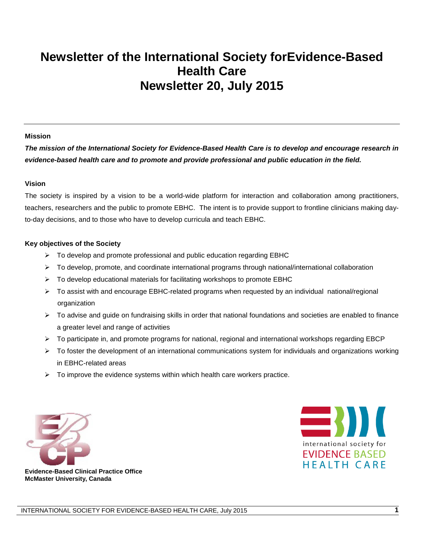# **Newsletter of the International Society forEvidence-Based Health Care Newsletter 20, July 2015**

#### **Mission**

*The mission of the International Society for Evidence-Based Health Care is to develop and encourage research in evidence-based health care and to promote and provide professional and public education in the field.*

#### **Vision**

The society is inspired by a vision to be a world-wide platform for interaction and collaboration among practitioners, teachers, researchers and the public to promote EBHC. The intent is to provide support to frontline clinicians making dayto-day decisions, and to those who have to develop curricula and teach EBHC.

#### **Key objectives of the Society**

- $\triangleright$  To develop and promote professional and public education regarding EBHC
- $\triangleright$  To develop, promote, and coordinate international programs through national/international collaboration
- $\triangleright$  To develop educational materials for facilitating workshops to promote EBHC
- To assist with and encourage EBHC-related programs when requested by an individual national/regional organization
- $\triangleright$  To advise and guide on fundraising skills in order that national foundations and societies are enabled to finance a greater level and range of activities
- $\triangleright$  To participate in, and promote programs for national, regional and international workshops regarding EBCP
- $\triangleright$  To foster the development of an international communications system for individuals and organizations working in EBHC-related areas
- $\triangleright$  To improve the evidence systems within which health care workers practice.





**Evidence-Based Clinical Practice Office McMaster University, Canada**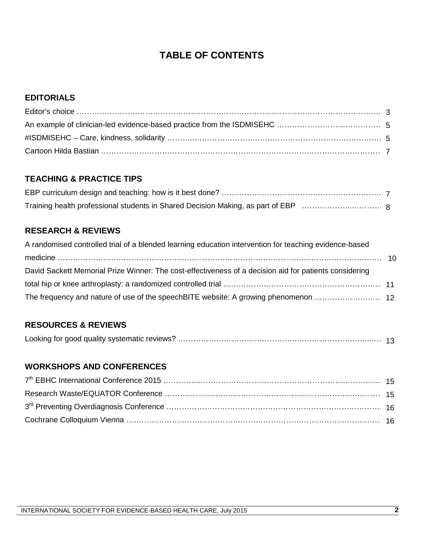## **TABLE OF CONTENTS**

#### **EDITORIALS**

#### **TEACHING & PRACTICE TIPS**

## **RESEARCH & REVIEWS**

| A randomised controlled trial of a blended learning education intervention for teaching evidence-based |  |
|--------------------------------------------------------------------------------------------------------|--|
|                                                                                                        |  |
| David Sackett Memorial Prize Winner: The cost-effectiveness of a decision aid for patients considering |  |
|                                                                                                        |  |
|                                                                                                        |  |

#### **RESOURCES & REVIEWS**

|--|--|--|

#### **WORKSHOPS AND CONFERENCES**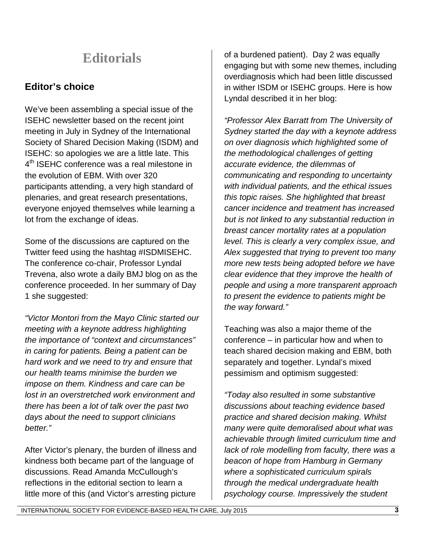# **Editorials**

## **Editor's choice**

We've been assembling a special issue of the ISEHC newsletter based on the recent joint meeting in July in Sydney of the International Society of Shared Decision Making (ISDM) and ISEHC: so apologies we are a little late. This 4<sup>th</sup> ISEHC conference was a real milestone in the evolution of EBM. With over 320 participants attending, a very high standard of plenaries, and great research presentations, everyone enjoyed themselves while learning a lot from the exchange of ideas.

Some of the discussions are captured on the Twitter feed using the hashtag #ISDMISEHC. The conference co-chair, Professor Lyndal Trevena, also wrote a daily BMJ blog on as the conference proceeded. In her summary of Day 1 she suggested:

*"Victor Montori from the Mayo Clinic started our meeting with a keynote address highlighting the importance of "context and circumstances" in caring for patients. Being a patient can be hard work and we need to try and ensure that our health teams minimise the burden we impose on them. Kindness and care can be lost in an overstretched work environment and there has been a lot of talk over the past two days about the need to support clinicians better."*

After Victor's plenary, the burden of illness and kindness both became part of the language of discussions. Read Amanda McCullough's reflections in the editorial section to learn a little more of this (and Victor's arresting picture

of a burdened patient). Day 2 was equally engaging but with some new themes, including overdiagnosis which had been little discussed in wither ISDM or ISEHC groups. Here is how Lyndal described it in her blog:

*"Professor Alex Barratt from The University of Sydney started the day with a keynote address on over diagnosis which highlighted some of the methodological challenges of getting accurate evidence, the dilemmas of communicating and responding to uncertainty with individual patients, and the ethical issues this topic raises. She highlighted that breast cancer incidence and treatment has increased but is not linked to any substantial reduction in breast cancer mortality rates at a population level. This is clearly a very complex issue, and Alex suggested that trying to prevent too many more new tests being adopted before we have clear evidence that they improve the health of people and using a more transparent approach to present the evidence to patients might be the way forward."*

Teaching was also a major theme of the conference – in particular how and when to teach shared decision making and EBM, both separately and together. Lyndal's mixed pessimism and optimism suggested:

*"Today also resulted in some substantive discussions about teaching evidence based practice and shared decision making. Whilst many were quite demoralised about what was achievable through limited curriculum time and lack of role modelling from faculty, there was a beacon of hope from Hamburg in Germany where a sophisticated curriculum spirals through the medical undergraduate health psychology course. Impressively the student*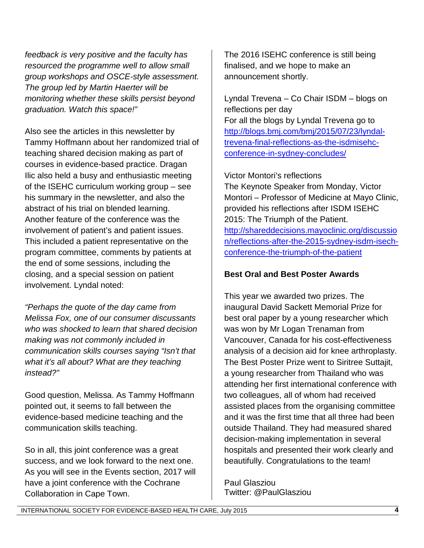*feedback is very positive and the faculty has resourced the programme well to allow small group workshops and OSCE-style assessment. The group led by Martin Haerter will be monitoring whether these skills persist beyond graduation. Watch this space!"*

Also see the articles in this newsletter by Tammy Hoffmann about her randomized trial of teaching shared decision making as part of courses in evidence-based practice. Dragan Ilic also held a busy and enthusiastic meeting of the ISEHC curriculum working group – see his summary in the newsletter, and also the abstract of his trial on blended learning. Another feature of the conference was the involvement of patient's and patient issues. This included a patient representative on the program committee, comments by patients at the end of some sessions, including the closing, and a special session on patient involvement. Lyndal noted:

*"Perhaps the quote of the day came from Melissa Fox, one of our consumer discussants who was shocked to learn that shared decision making was not commonly included in communication skills courses saying "Isn't that what it's all about? What are they teaching instead?"* 

Good question, Melissa. As Tammy Hoffmann pointed out, it seems to fall between the evidence-based medicine teaching and the communication skills teaching.

So in all, this joint conference was a great success, and we look forward to the next one. As you will see in the Events section, 2017 will have a joint conference with the Cochrane Collaboration in Cape Town.

The 2016 ISEHC conference is still being finalised, and we hope to make an announcement shortly.

Lyndal Trevena – Co Chair ISDM – blogs on reflections per day For all the blogs by Lyndal Trevena go to [http://blogs.bmj.com/bmj/2015/07/23/lyndal](http://blogs.bmj.com/bmj/2015/07/23/lyndal-trevena-final-reflections-as-the-isdmisehc-conference-in-sydney-concludes/)[trevena-final-reflections-as-the-isdmisehc](http://blogs.bmj.com/bmj/2015/07/23/lyndal-trevena-final-reflections-as-the-isdmisehc-conference-in-sydney-concludes/)[conference-in-sydney-concludes/](http://blogs.bmj.com/bmj/2015/07/23/lyndal-trevena-final-reflections-as-the-isdmisehc-conference-in-sydney-concludes/)

Victor Montori's reflections

The Keynote Speaker from Monday, Victor Montori – Professor of Medicine at Mayo Clinic, provided his reflections after ISDM ISEHC 2015: The Triumph of the Patient. [http://shareddecisions.mayoclinic.org/discussio](http://shareddecisions.mayoclinic.org/discussion/reflections-after-the-2015-sydney-isdm-isech-conference-the-triumph-of-the-patient) [n/reflections-after-the-2015-sydney-isdm-isech](http://shareddecisions.mayoclinic.org/discussion/reflections-after-the-2015-sydney-isdm-isech-conference-the-triumph-of-the-patient)[conference-the-triumph-of-the-patient](http://shareddecisions.mayoclinic.org/discussion/reflections-after-the-2015-sydney-isdm-isech-conference-the-triumph-of-the-patient)

#### **Best Oral and Best Poster Awards**

This year we awarded two prizes. The inaugural David Sackett Memorial Prize for best oral paper by a young researcher which was won by Mr Logan Trenaman from Vancouver, Canada for his cost-effectiveness analysis of a decision aid for knee arthroplasty. The Best Poster Prize went to Siritree Suttajit, a young researcher from Thailand who was attending her first international conference with two colleagues, all of whom had received assisted places from the organising committee and it was the first time that all three had been outside Thailand. They had measured shared decision-making implementation in several hospitals and presented their work clearly and beautifully. Congratulations to the team!

Paul Glasziou Twitter: @PaulGlasziou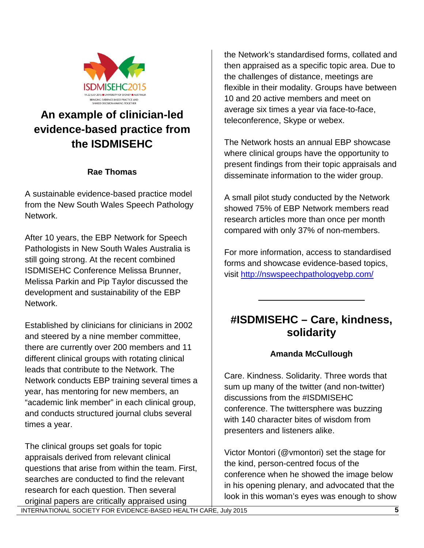

# **An example of clinician-led evidence-based practice from the ISDMISEHC**

#### **Rae Thomas**

A sustainable evidence-based practice model from the New South Wales Speech Pathology Network.

After 10 years, the EBP Network for Speech Pathologists in New South Wales Australia is still going strong. At the recent combined ISDMISEHC Conference Melissa Brunner, Melissa Parkin and Pip Taylor discussed the development and sustainability of the EBP Network.

Established by clinicians for clinicians in 2002 and steered by a nine member committee, there are currently over 200 members and 11 different clinical groups with rotating clinical leads that contribute to the Network. The Network conducts EBP training several times a year, has mentoring for new members, an "academic link member" in each clinical group, and conducts structured journal clubs several times a year.

The clinical groups set goals for topic appraisals derived from relevant clinical questions that arise from within the team. First, searches are conducted to find the relevant research for each question. Then several original papers are critically appraised using

the Network's standardised forms, collated and then appraised as a specific topic area. Due to the challenges of distance, meetings are flexible in their modality. Groups have between 10 and 20 active members and meet on average six times a year via face-to-face, teleconference, Skype or webex.

The Network hosts an annual EBP showcase where clinical groups have the opportunity to present findings from their topic appraisals and disseminate information to the wider group.

A small pilot study conducted by the Network showed 75% of EBP Network members read research articles more than once per month compared with only 37% of non-members.

For more information, access to standardised forms and showcase evidence-based topics, visit<http://nswspeechpathologyebp.com/>

# **#ISDMISEHC – Care, kindness, solidarity**

 $\overline{\phantom{a}}$  , where  $\overline{\phantom{a}}$  , where  $\overline{\phantom{a}}$  , where  $\overline{\phantom{a}}$ 

#### **Amanda McCullough**

Care. Kindness. Solidarity. Three words that sum up many of the twitter (and non-twitter) discussions from the #ISDMISEHC conference. The twittersphere was buzzing with 140 character bites of wisdom from presenters and listeners alike.

Victor Montori (@vmontori) set the stage for the kind, person-centred focus of the conference when he showed the image below in his opening plenary, and advocated that the look in this woman's eyes was enough to show

INTERNATIONAL SOCIETY FOR EVIDENCE-BASED HEALTH CARE, July 2015 **5**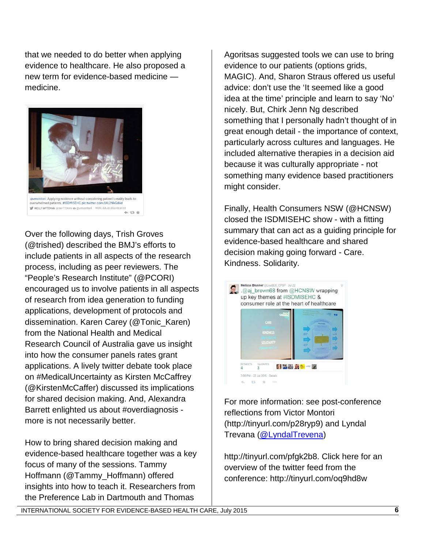that we needed to do better when applying evidence to healthcare. He also proposed a new term for evidence-based medicine medicine.



Over the following days, Trish Groves (@trished) described the BMJ's efforts to include patients in all aspects of the research process, including as peer reviewers. The "People's Research Institute" (@PCORI) encouraged us to involve patients in all aspects of research from idea generation to funding applications, development of protocols and dissemination. Karen Carey (@Tonic\_Karen) from the National Health and Medical Research Council of Australia gave us insight into how the consumer panels rates grant applications. A lively twitter debate took place on #MedicalUncertainty as Kirsten McCaffrey (@KirstenMcCaffer) discussed its implications for shared decision making. And, Alexandra Barrett enlighted us about #overdiagnosis more is not necessarily better.

How to bring shared decision making and evidence-based healthcare together was a key focus of many of the sessions. Tammy Hoffmann (@Tammy\_Hoffmann) offered insights into how to teach it. Researchers from the Preference Lab in Dartmouth and Thomas

Agoritsas suggested tools we can use to bring evidence to our patients (options grids, MAGIC). And, Sharon Straus offered us useful advice: don't use the 'It seemed like a good idea at the time' principle and learn to say 'No' nicely. But, Chirk Jenn Ng described something that I personally hadn't thought of in great enough detail - the importance of context, particularly across cultures and languages. He included alternative therapies in a decision aid because it was culturally appropriate - not something many evidence based practitioners might consider.

Finally, Health Consumers NSW (@HCNSW) closed the ISDMISEHC show - with a fitting summary that can act as a guiding principle for evidence-based healthcare and shared decision making going forward - Care. Kindness. Solidarity.



For more information: see post-conference reflections from Victor Montori (http://tinyurl.com/p28ryp9) and Lyndal Trevana [\(@LyndalTrevena\)](https://twitter.com/LyndalTrevena)

http://tinyurl.com/pfgk2b8. Click here for an overview of the twitter feed from the conference: http://tinyurl.com/oq9hd8w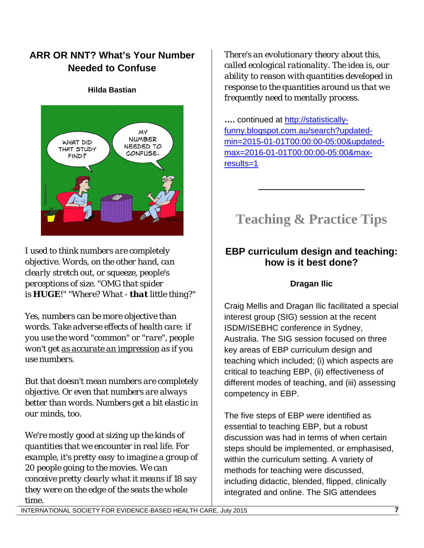## **ARR OR NNT? What's Your Number Needed to Confuse**

#### **Hilda Bastian**



*I used to think numbers are completely objective. Words, on the other hand, can clearly stretch out, or squeeze, people's perceptions of size. "OMG that spider is HUGE!" "Where? What - that little thing?"*

*Yes, numbers can be more objective than words. Take adverse effects of health care: if you use the word "common" or "rare", people won't get as [accurate an impression](http://www.ncbi.nlm.nih.gov/pubmed/25155972) as if you use numbers.*

*But that doesn't mean numbers are completely objective. Or even that numbers are always better than words. Numbers get a bit elastic in our minds, too.*

*We're mostly good at sizing up the kinds of quantities that we encounter in real life. For example, it's pretty easy to imagine a group of 20 people going to the movies. We can conceive pretty clearly what it means if 18 say they were on the edge of the seats the whole time.*

*There's an evolutionary theory about this, called ecological rationality. The idea is, our ability to reason with quantities developed in response to the quantities around us that we frequently need to mentally process.*

**….** continued at [http://statistically](http://statistically-funny.blogspot.com.au/search?updated-min=2015-01-01T00:00:00-05:00&updated-max=2016-01-01T00:00:00-05:00&max-results=1)[funny.blogspot.com.au/search?updated](http://statistically-funny.blogspot.com.au/search?updated-min=2015-01-01T00:00:00-05:00&updated-max=2016-01-01T00:00:00-05:00&max-results=1)[min=2015-01-01T00:00:00-05:00&updated](http://statistically-funny.blogspot.com.au/search?updated-min=2015-01-01T00:00:00-05:00&updated-max=2016-01-01T00:00:00-05:00&max-results=1)[max=2016-01-01T00:00:00-05:00&max](http://statistically-funny.blogspot.com.au/search?updated-min=2015-01-01T00:00:00-05:00&updated-max=2016-01-01T00:00:00-05:00&max-results=1)[results=1](http://statistically-funny.blogspot.com.au/search?updated-min=2015-01-01T00:00:00-05:00&updated-max=2016-01-01T00:00:00-05:00&max-results=1)

# **Teaching & Practice Tips**

\_\_\_\_\_\_\_\_\_\_\_\_\_\_\_\_\_\_\_\_\_\_\_

## **EBP curriculum design and teaching: how is it best done?**

### **Dragan Ilic**

Craig Mellis and Dragan Ilic facilitated a special interest group (SIG) session at the recent ISDM/ISEBHC conference in Sydney, Australia. The SIG session focused on three key areas of EBP curriculum design and teaching which included; (i) which aspects are critical to teaching EBP, (ii) effectiveness of different modes of teaching, and (iii) assessing competency in EBP.

The five steps of EBP were identified as essential to teaching EBP, but a robust discussion was had in terms of when certain steps should be implemented, or emphasised, within the curriculum setting. A variety of methods for teaching were discussed, including didactic, blended, flipped, clinically integrated and online. The SIG attendees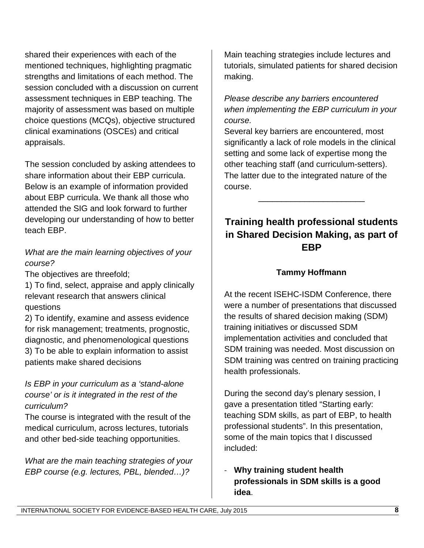shared their experiences with each of the mentioned techniques, highlighting pragmatic strengths and limitations of each method. The session concluded with a discussion on current assessment techniques in EBP teaching. The majority of assessment was based on multiple choice questions (MCQs), objective structured clinical examinations (OSCEs) and critical appraisals.

The session concluded by asking attendees to share information about their EBP curricula. Below is an example of information provided about EBP curricula. We thank all those who attended the SIG and look forward to further developing our understanding of how to better teach EBP.

### *What are the main learning objectives of your course?*

The objectives are threefold;

1) To find, select, appraise and apply clinically relevant research that answers clinical questions

2) To identify, examine and assess evidence for risk management; treatments, prognostic, diagnostic, and phenomenological questions 3) To be able to explain information to assist patients make shared decisions

### *Is EBP in your curriculum as a 'stand-alone course' or is it integrated in the rest of the curriculum?*

The course is integrated with the result of the medical curriculum, across lectures, tutorials and other bed-side teaching opportunities.

*What are the main teaching strategies of your EBP course (e.g. lectures, PBL, blended…)?*

Main teaching strategies include lectures and tutorials, simulated patients for shared decision making.

*Please describe any barriers encountered when implementing the EBP curriculum in your course.* 

Several key barriers are encountered, most significantly a lack of role models in the clinical setting and some lack of expertise mong the other teaching staff (and curriculum-setters). The latter due to the integrated nature of the course.

# **Training health professional students in Shared Decision Making, as part of EBP**

 $\overline{\phantom{a}}$  , where  $\overline{\phantom{a}}$  , where  $\overline{\phantom{a}}$  , where  $\overline{\phantom{a}}$ 

### **Tammy Hoffmann**

At the recent ISEHC-ISDM Conference, there were a number of presentations that discussed the results of shared decision making (SDM) training initiatives or discussed SDM implementation activities and concluded that SDM training was needed. Most discussion on SDM training was centred on training practicing health professionals.

During the second day's plenary session, I gave a presentation titled "Starting early: teaching SDM skills, as part of EBP, to health professional students". In this presentation, some of the main topics that I discussed included:

- **Why training student health professionals in SDM skills is a good idea**.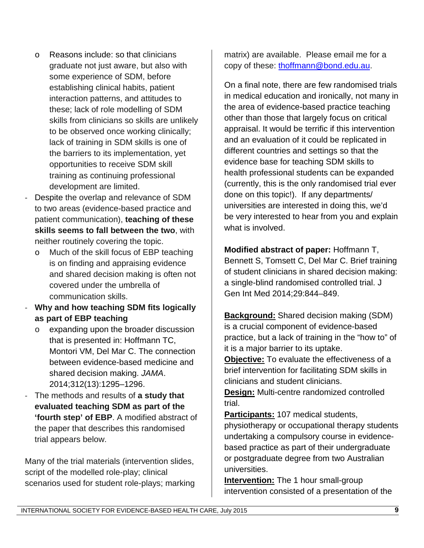- o Reasons include: so that clinicians graduate not just aware, but also with some experience of SDM, before establishing clinical habits, patient interaction patterns, and attitudes to these; lack of role modelling of SDM skills from clinicians so skills are unlikely to be observed once working clinically; lack of training in SDM skills is one of the barriers to its implementation, yet opportunities to receive SDM skill training as continuing professional development are limited.
- Despite the overlap and relevance of SDM to two areas (evidence-based practice and patient communication), **teaching of these skills seems to fall between the two**, with neither routinely covering the topic.
	- o Much of the skill focus of EBP teaching is on finding and appraising evidence and shared decision making is often not covered under the umbrella of communication skills.
- **Why and how teaching SDM fits logically as part of EBP teaching**
	- o expanding upon the broader discussion that is presented in: Hoffmann TC, Montori VM, Del Mar C. The connection between evidence-based medicine and shared decision making. *JAMA*. 2014;312(13):1295–1296.
- The methods and results of **a study that evaluated teaching SDM as part of the 'fourth step' of EBP**. A modified abstract of the paper that describes this randomised trial appears below.

Many of the trial materials (intervention slides, script of the modelled role-play; clinical scenarios used for student role-plays; marking matrix) are available. Please email me for a copy of these: [thoffmann@bond.edu.au.](mailto:thoffmann@bond.edu.au)

On a final note, there are few randomised trials in medical education and ironically, not many in the area of evidence-based practice teaching other than those that largely focus on critical appraisal. It would be terrific if this intervention and an evaluation of it could be replicated in different countries and settings so that the evidence base for teaching SDM skills to health professional students can be expanded (currently, this is the only randomised trial ever done on this topic!). If any departments/ universities are interested in doing this, we'd be very interested to hear from you and explain what is involved.

**Modified abstract of paper:** Hoffmann T, Bennett S, Tomsett C, Del Mar C. Brief training of student clinicians in shared decision making: a single-blind randomised controlled trial. J Gen Int Med 2014;29:844–849.

**Background:** Shared decision making (SDM) is a crucial component of evidence-based practice, but a lack of training in the "how to" of it is a major barrier to its uptake.

**Objective:** To evaluate the effectiveness of a brief intervention for facilitating SDM skills in clinicians and student clinicians.

**Design:** Multi-centre randomized controlled trial.

**Participants:** 107 medical students,

physiotherapy or occupational therapy students undertaking a compulsory course in evidencebased practice as part of their undergraduate or postgraduate degree from two Australian universities.

**Intervention:** The 1 hour small-group intervention consisted of a presentation of the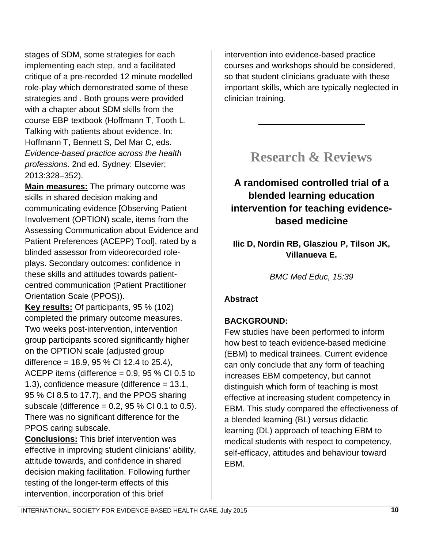stages of SDM, some strategies for each implementing each step, and a facilitated critique of a pre-recorded 12 minute modelled role-play which demonstrated some of these strategies and . Both groups were provided with a chapter about SDM skills from the course EBP textbook (Hoffmann T, Tooth L. Talking with patients about evidence. In: Hoffmann T, Bennett S, Del Mar C, eds. *Evidence-based practice across the health professions*. 2nd ed. Sydney: Elsevier; 2013:328–352).

**Main measures:** The primary outcome was skills in shared decision making and communicating evidence [Observing Patient Involvement (OPTION) scale, items from the Assessing Communication about Evidence and Patient Preferences (ACEPP) Tool], rated by a blinded assessor from videorecorded roleplays. Secondary outcomes: confidence in these skills and attitudes towards patientcentred communication (Patient Practitioner Orientation Scale (PPOS)).

**Key results:** Of participants, 95 % (102) completed the primary outcome measures. Two weeks post-intervention, intervention group participants scored significantly higher on the OPTION scale (adjusted group difference =  $18.9, 95\%$  CI 12.4 to 25.4), ACEPP items (difference  $= 0.9$ , 95 % CI 0.5 to 1.3), confidence measure (difference = 13.1, 95 % CI 8.5 to 17.7), and the PPOS sharing subscale (difference  $= 0.2$ , 95 % CI 0.1 to 0.5). There was no significant difference for the PPOS caring subscale.

**Conclusions:** This brief intervention was effective in improving student clinicians' ability, attitude towards, and confidence in shared decision making facilitation. Following further testing of the longer-term effects of this intervention, incorporation of this brief

intervention into evidence-based practice courses and workshops should be considered, so that student clinicians graduate with these important skills, which are typically neglected in clinician training.

# **Research & Reviews**

 $\overline{\phantom{a}}$  , where  $\overline{\phantom{a}}$  , where  $\overline{\phantom{a}}$  , where  $\overline{\phantom{a}}$ 

# **A randomised controlled trial of a blended learning education intervention for teaching evidencebased medicine**

**Ilic D, Nordin RB, Glasziou P, Tilson JK, Villanueva E.**

*BMC Med Educ, 15:39*

## **Abstract**

## **BACKGROUND:**

Few studies have been performed to inform how best to teach evidence-based medicine (EBM) to medical trainees. Current evidence can only conclude that any form of teaching increases EBM competency, but cannot distinguish which form of teaching is most effective at increasing student competency in EBM. This study compared the effectiveness of a blended learning (BL) versus didactic learning (DL) approach of teaching EBM to medical students with respect to competency, self-efficacy, attitudes and behaviour toward EBM.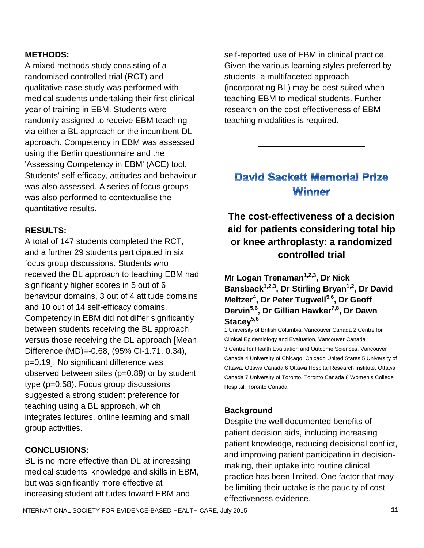#### **METHODS:**

A mixed methods study consisting of a randomised controlled trial (RCT) and qualitative case study was performed with medical students undertaking their first clinical year of training in EBM. Students were randomly assigned to receive EBM teaching via either a BL approach or the incumbent DL approach. Competency in EBM was assessed using the Berlin questionnaire and the 'Assessing Competency in EBM' (ACE) tool. Students' self-efficacy, attitudes and behaviour was also assessed. A series of focus groups was also performed to contextualise the quantitative results.

### **RESULTS:**

A total of 147 students completed the RCT, and a further 29 students participated in six focus group discussions. Students who received the BL approach to teaching EBM had significantly higher scores in 5 out of 6 behaviour domains, 3 out of 4 attitude domains and 10 out of 14 self-efficacy domains. Competency in EBM did not differ significantly between students receiving the BL approach versus those receiving the DL approach [Mean Difference (MD)=-0.68, (95% CI-1.71, 0.34), p=0.19]. No significant difference was observed between sites (p=0.89) or by student type (p=0.58). Focus group discussions suggested a strong student preference for teaching using a BL approach, which integrates lectures, online learning and small group activities.

### **CONCLUSIONS:**

BL is no more effective than DL at increasing medical students' knowledge and skills in EBM, but was significantly more effective at increasing student attitudes toward EBM and

self-reported use of EBM in clinical practice. Given the various learning styles preferred by students, a multifaceted approach (incorporating BL) may be best suited when teaching EBM to medical students. Further research on the cost-effectiveness of EBM teaching modalities is required.

# **David Sackett Memorial Prize** Winner

\_\_\_\_\_\_\_\_\_\_\_\_\_\_\_\_\_\_\_\_\_\_\_

# **The cost-effectiveness of a decision aid for patients considering total hip or knee arthroplasty: a randomized controlled trial**

**Mr Logan Trenaman**<sup>1,2,3</sup>, Dr Nick **Bansback1,2,3, Dr Stirling Bryan1,2, Dr David Meltzer<sup>4</sup> , Dr Peter Tugwell5,6, Dr Geoff Dervin5,6, Dr Gillian Hawker7,8, Dr Dawn**  Stacev<sup>5,6</sup>

1 University of British Columbia, Vancouver Canada 2 Centre for Clinical Epidemiology and Evaluation, Vancouver Canada 3 Centre for Health Evaluation and Outcome Sciences, Vancouver Canada 4 University of Chicago, Chicago United States 5 University of Ottawa, Ottawa Canada 6 Ottawa Hospital Research Institute, Ottawa Canada 7 University of Toronto, Toronto Canada 8 Women's College Hospital, Toronto Canada

## **Background**

Despite the well documented benefits of patient decision aids, including increasing patient knowledge, reducing decisional conflict, and improving patient participation in decisionmaking, their uptake into routine clinical practice has been limited. One factor that may be limiting their uptake is the paucity of costeffectiveness evidence.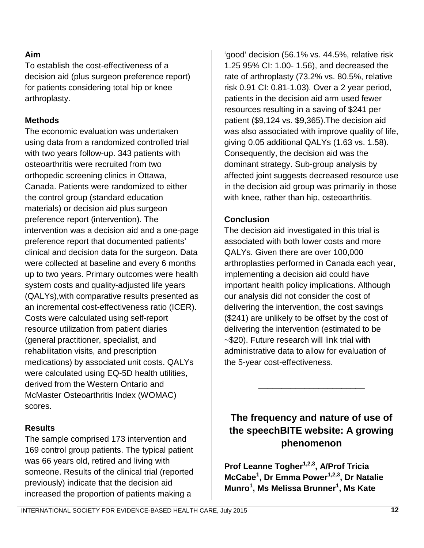#### **Aim**

To establish the cost-effectiveness of a decision aid (plus surgeon preference report) for patients considering total hip or knee arthroplasty.

#### **Methods**

The economic evaluation was undertaken using data from a randomized controlled trial with two years follow-up. 343 patients with osteoarthritis were recruited from two orthopedic screening clinics in Ottawa, Canada. Patients were randomized to either the control group (standard education materials) or decision aid plus surgeon preference report (intervention). The intervention was a decision aid and a one-page preference report that documented patients' clinical and decision data for the surgeon. Data were collected at baseline and every 6 months up to two years. Primary outcomes were health system costs and quality-adjusted life years (QALYs),with comparative results presented as an incremental cost-effectiveness ratio (ICER). Costs were calculated using self-report resource utilization from patient diaries (general practitioner, specialist, and rehabilitation visits, and prescription medications) by associated unit costs. QALYs were calculated using EQ-5D health utilities, derived from the Western Ontario and McMaster Osteoarthritis Index (WOMAC) scores.

#### **Results**

The sample comprised 173 intervention and 169 control group patients. The typical patient was 66 years old, retired and living with someone. Results of the clinical trial (reported previously) indicate that the decision aid increased the proportion of patients making a

'good' decision (56.1% vs. 44.5%, relative risk 1.25 95% CI: 1.00- 1.56), and decreased the rate of arthroplasty (73.2% vs. 80.5%, relative risk 0.91 CI: 0.81-1.03). Over a 2 year period, patients in the decision aid arm used fewer resources resulting in a saving of \$241 per patient (\$9,124 vs. \$9,365).The decision aid was also associated with improve quality of life, giving 0.05 additional QALYs (1.63 vs. 1.58). Consequently, the decision aid was the dominant strategy. Sub-group analysis by affected joint suggests decreased resource use in the decision aid group was primarily in those with knee, rather than hip, osteoarthritis.

#### **Conclusion**

The decision aid investigated in this trial is associated with both lower costs and more QALYs. Given there are over 100,000 arthroplasties performed in Canada each year, implementing a decision aid could have important health policy implications. Although our analysis did not consider the cost of delivering the intervention, the cost savings (\$241) are unlikely to be offset by the cost of delivering the intervention (estimated to be ~\$20). Future research will link trial with administrative data to allow for evaluation of the 5-year cost-effectiveness.

# **The frequency and nature of use of the speechBITE website: A growing phenomenon**

\_\_\_\_\_\_\_\_\_\_\_\_\_\_\_\_\_\_\_\_\_\_\_

**Prof Leanne Togher1,2,3, A/Prof Tricia McCabe<sup>1</sup> , Dr Emma Power1,2,3, Dr Natalie Munro1 , Ms Melissa Brunner<sup>1</sup> , Ms Kate**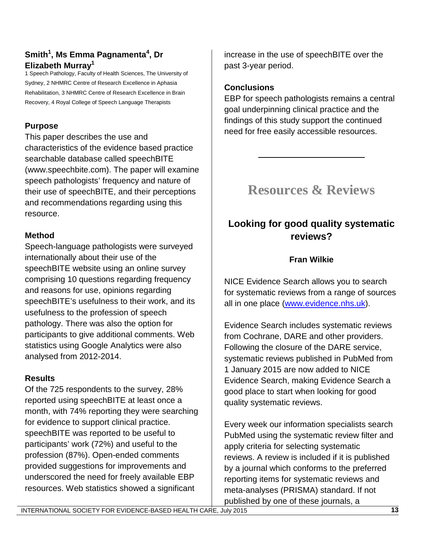### **Smith1 , Ms Emma Pagnamenta<sup>4</sup> , Dr Elizabeth Murray1**

1 Speech Pathology, Faculty of Health Sciences, The University of Sydney, 2 NHMRC Centre of Research Excellence in Aphasia Rehabilitation, 3 NHMRC Centre of Research Excellence in Brain Recovery, 4 Royal College of Speech Language Therapists

## **Purpose**

This paper describes the use and characteristics of the evidence based practice searchable database called speechBITE (www.speechbite.com). The paper will examine speech pathologists' frequency and nature of their use of speechBITE, and their perceptions and recommendations regarding using this resource.

### **Method**

Speech-language pathologists were surveyed internationally about their use of the speechBITE website using an online survey comprising 10 questions regarding frequency and reasons for use, opinions regarding speechBITE's usefulness to their work, and its usefulness to the profession of speech pathology. There was also the option for participants to give additional comments. Web statistics using Google Analytics were also analysed from 2012-2014.

## **Results**

Of the 725 respondents to the survey, 28% reported using speechBITE at least once a month, with 74% reporting they were searching for evidence to support clinical practice. speechBITE was reported to be useful to participants' work (72%) and useful to the profession (87%). Open-ended comments provided suggestions for improvements and underscored the need for freely available EBP resources. Web statistics showed a significant

increase in the use of speechBITE over the past 3-year period.

## **Conclusions**

EBP for speech pathologists remains a central goal underpinning clinical practice and the findings of this study support the continued need for free easily accessible resources.

# **Resources & Reviews**

 $\overline{\phantom{a}}$  , where  $\overline{\phantom{a}}$  , where  $\overline{\phantom{a}}$  , where  $\overline{\phantom{a}}$ 

# **Looking for good quality systematic reviews?**

## **Fran Wilkie**

NICE Evidence Search allows you to search for systematic reviews from a range of sources all in one place [\(www.evidence.nhs.uk\)](http://www.evidence.nhs.uk/).

Evidence Search includes systematic reviews from Cochrane, DARE and other providers. Following the closure of the DARE service, systematic reviews published in PubMed from 1 January 2015 are now added to NICE Evidence Search, making Evidence Search a good place to start when looking for good quality systematic reviews.

Every week our information specialists search PubMed using the systematic review filter and apply criteria for selecting systematic reviews. A review is included if it is published by a journal which conforms to the preferred reporting items for systematic reviews and meta-analyses (PRISMA) standard. If not published by one of these journals, a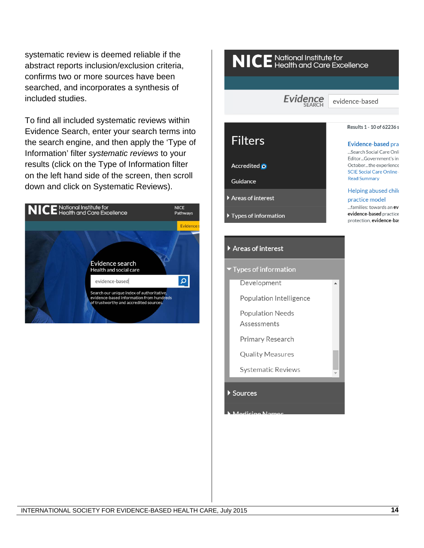systematic review is deemed reliable if the abstract reports inclusion/exclusion criteria, confirms two or more sources have been searched, and incorporates a synthesis of included studies.

To find all included systematic reviews within Evidence Search, enter your search terms into the search engine, and then apply the 'Type of Information' filter *systematic reviews* to your results (click on the Type of Information filter on the left hand side of the screen, then scroll down and click on Systematic Reviews).



# NICE National Institute for<br>NICE Health and Care Excellence Evidence evidence-based Results 1 - 10 of 62236 s **Filters** Evidence-based pra ...Search Social Care Onli Editor...Government's ini October...the experience Accredited O **SCIE Social Care Online -Read Summary** Guidance Helping abused child  $\blacktriangleright$  Areas of interest practice model ... families: towards an evi evidence-based practice Types of information protection, evidence-bas Areas of interest Types of information Development  $\blacktriangle$ Population Intelligence **Population Needs** Assessments Primary Research **Quality Measures Systematic Reviews** Sources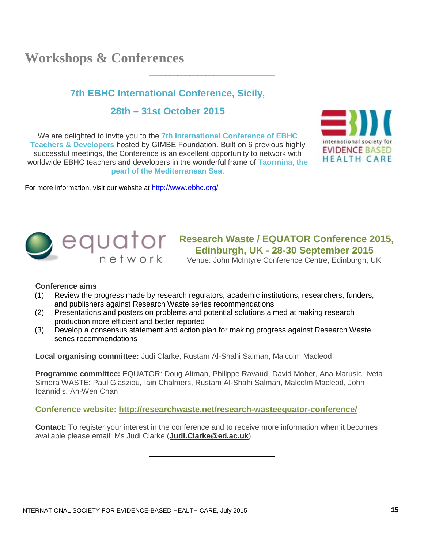# **Workshops & Conferences**

### **7th EBHC International Conference, Sicily,**

\_\_\_\_\_\_\_\_\_\_\_\_\_\_\_\_\_\_\_\_\_\_\_\_\_\_\_\_\_\_\_

#### **28th – 31st October 2015**

We are delighted to invite you to the **7th International Conference of EBHC Teachers & Developers** hosted by GIMBE Foundation. Built on 6 previous highly successful meetings, the Conference is an excellent opportunity to network with worldwide EBHC teachers and developers in the wonderful frame of **Taormina, the pearl of the Mediterranean Sea**.

For more information, visit our website at<http://www.ebhc.org/>





# **Research Waste / EQUATOR Conference 2015,**<br> **Research Waste / EQUATOR Conference 2015 Edinburgh, UK - 28-30 September 2015**

Venue: John McIntyre Conference Centre, Edinburgh, UK

#### **Conference aims**

(1) Review the progress made by research regulators, academic institutions, researchers, funders, and publishers against Research Waste series recommendations

\_\_\_\_\_\_\_\_\_\_\_\_\_\_\_\_\_\_\_\_\_\_\_\_\_\_\_\_\_\_\_

- (2) Presentations and posters on problems and potential solutions aimed at making research production more efficient and better reported
- (3) Develop a consensus statement and action plan for making progress against Research Waste series recommendations

**Local organising committee:** Judi Clarke, Rustam Al-Shahi Salman, Malcolm Macleod

**Programme committee:** EQUATOR: Doug Altman, Philippe Ravaud, David Moher, Ana Marusic, Iveta Simera WASTE: Paul Glasziou, Iain Chalmers, Rustam Al-Shahi Salman, Malcolm Macleod, John Ioannidis, An-Wen Chan

#### **Conference website: <http://researchwaste.net/research-wasteequator-conference/>**

**Contact:** To register your interest in the conference and to receive more information when it becomes available please email: Ms Judi Clarke (**[Judi.Clarke@ed.ac.uk](mailto:Judi.Clarke@ed.ac.uk)**)

\_\_\_\_\_\_\_\_\_\_\_\_\_\_\_\_\_\_\_\_\_\_\_\_\_\_\_\_\_\_\_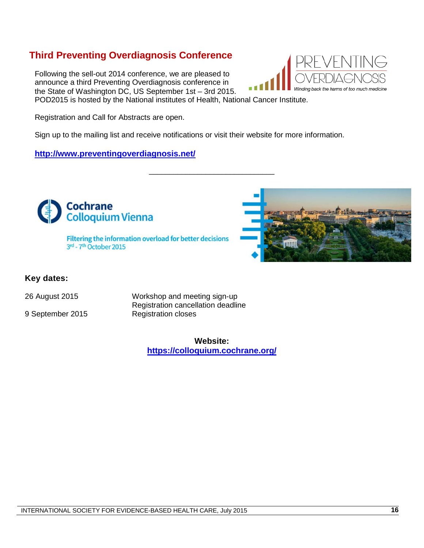## **Third Preventing Overdiagnosis Conference**

Following the sell-out 2014 conference, we are pleased to announce a third Preventing Overdiagnosis conference in the State of Washington DC, US September 1st – 3rd 2015. POD2015 is hosted by the National institutes of Health, National Cancer Institute.



Sign up to the mailing list and receive notifications or visit their website for more information.

#### **<http://www.preventingoverdiagnosis.net/>**



\_\_\_\_\_\_\_\_\_\_\_\_\_\_\_\_\_\_\_\_\_\_\_\_\_\_\_\_\_\_\_

#### **Key dates:**

9 September 2015 Registration closes

26 August 2015 Workshop and meeting sign-up Registration cancellation deadline

> **Website: <https://colloquium.cochrane.org/>**

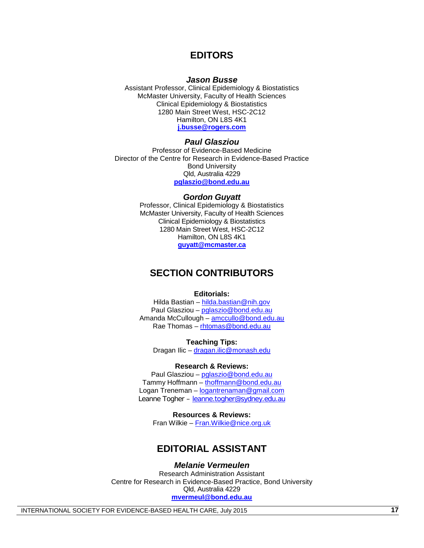#### **EDITORS**

#### *Jason Busse*

Assistant Professor, Clinical Epidemiology & Biostatistics McMaster University, Faculty of Health Sciences Clinical Epidemiology & Biostatistics 1280 Main Street West, HSC-2C12 Hamilton, ON L8S 4K1 **[j.busse@rogers.com](mailto:j.busse@rogers.com)**

#### *Paul Glasziou*

Professor of Evidence-Based Medicine Director of the Centre for Research in Evidence-Based Practice Bond University Qld, Australia 4229 **[pglaszio@bond.edu.au](mailto:pglaszio@bond.edu.au)**

#### *Gordon Guyatt*

Professor, Clinical Epidemiology & Biostatistics McMaster University, Faculty of Health Sciences Clinical Epidemiology & Biostatistics 1280 Main Street West, HSC-2C12 Hamilton, ON L8S 4K1 **[guyatt@mcmaster.ca](mailto:guyatt@mcmaster.ca)**

#### **SECTION CONTRIBUTORS**

#### **Editorials:**

Hilda Bastian – [hilda.bastian@nih.gov](mailto:hilda.bastian@nih.gov) Paul Glasziou – [pglaszio@bond.edu.au](mailto:pglaszio@bond.edu.au) Amanda McCullough - [amccullo@bond.edu.au](mailto:amccullo@bond.edu.au) Rae Thomas – [rhtomas@bond.edu.au](mailto:rhtomas@bond.edu.au)

**Teaching Tips:** Dragan Ilic - [dragan.ilic@monash.edu](mailto:dragan.ilic@monash.edu)

#### **Research & Reviews:**

Paul Glasziou – [pglaszio@bond.edu.au](mailto:pglaszio@bond.edu.au) Tammy Hoffmann – [thoffmann@bond.edu.au](mailto:thoffmann@bond.edu.au) Logan Treneman – [logantrenaman@gmail.com](mailto:logantrenaman@gmail.com) Leanne Togher – [leanne.togher@sydney.edu.au](mailto:leanne.togher@sydney.edu.au)

**Resources & Reviews:** Fran Wilkie – [Fran.Wilkie@nice.org.uk](mailto:Fran.Wilkie@nice.org.uk)

#### **EDITORIAL ASSISTANT**

#### *Melanie Vermeulen*

Research Administration Assistant Centre for Research in Evidence-Based Practice, Bond University Qld, Australia 4229 **[mvermeul@bond.edu.au](mailto:mvermeul@bond.edu.au)**